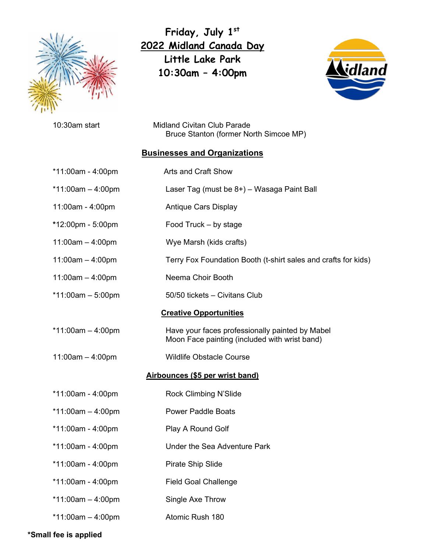

**Friday, July 1st 2022 Midland Canada Day Little Lake Park 10:30am – 4:00pm**



10:30am startMidland Civitan Club Parade Bruce Stanton (former North Simcoe MP)

## **Businesses and Organizations**

|                                 | *11:00am - 4:00pm   | Arts and Craft Show                                                                              |
|---------------------------------|---------------------|--------------------------------------------------------------------------------------------------|
|                                 | *11:00am $-$ 4:00pm | Laser Tag (must be 8+) - Wasaga Paint Ball                                                       |
|                                 | 11:00am - 4:00pm    | <b>Antique Cars Display</b>                                                                      |
|                                 | *12:00pm - 5:00pm   | Food Truck - by stage                                                                            |
|                                 | $11:00am - 4:00pm$  | Wye Marsh (kids crafts)                                                                          |
|                                 | $11:00am - 4:00pm$  | Terry Fox Foundation Booth (t-shirt sales and crafts for kids)                                   |
|                                 | $11:00am - 4:00pm$  | Neema Choir Booth                                                                                |
|                                 | *11:00am $-$ 5:00pm | 50/50 tickets - Civitans Club                                                                    |
| <b>Creative Opportunities</b>   |                     |                                                                                                  |
|                                 | *11:00am $-$ 4:00pm | Have your faces professionally painted by Mabel<br>Moon Face painting (included with wrist band) |
|                                 | $11:00am - 4:00pm$  | <b>Wildlife Obstacle Course</b>                                                                  |
| Airbounces (\$5 per wrist band) |                     |                                                                                                  |
|                                 | *11:00am - 4:00pm   | Rock Climbing N'Slide                                                                            |
|                                 | *11:00am $-$ 4:00pm | <b>Power Paddle Boats</b>                                                                        |
|                                 | *11:00am - 4:00pm   | Play A Round Golf                                                                                |
|                                 | *11:00am - 4:00pm   | Under the Sea Adventure Park                                                                     |
|                                 | *11:00am - 4:00pm   | Pirate Ship Slide                                                                                |
|                                 | *11:00am - 4:00pm   | <b>Field Goal Challenge</b>                                                                      |
|                                 | *11:00am $-$ 4:00pm | Single Axe Throw                                                                                 |
|                                 | *11:00am $-$ 4:00pm | Atomic Rush 180                                                                                  |

**\*Small fee is applied**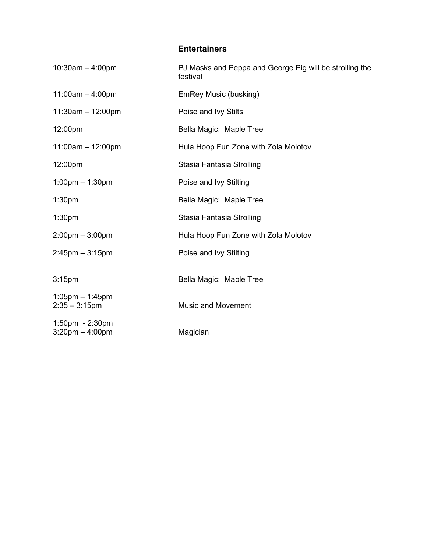## **Entertainers**

| $10:30$ am $-4:00$ pm                    | PJ Masks and Peppa and George Pig will be strolling the<br>festival |
|------------------------------------------|---------------------------------------------------------------------|
| $11:00am - 4:00pm$                       | EmRey Music (busking)                                               |
| $11:30am - 12:00pm$                      | Poise and Ivy Stilts                                                |
| 12:00pm                                  | Bella Magic: Maple Tree                                             |
| $11:00am - 12:00pm$                      | Hula Hoop Fun Zone with Zola Molotov                                |
| 12:00pm                                  | Stasia Fantasia Strolling                                           |
| $1:00$ pm $-1:30$ pm                     | Poise and Ivy Stilting                                              |
| 1:30 <sub>pm</sub>                       | Bella Magic: Maple Tree                                             |
| 1:30 <sub>pm</sub>                       | Stasia Fantasia Strolling                                           |
| $2:00$ pm $-3:00$ pm                     | Hula Hoop Fun Zone with Zola Molotov                                |
| $2:45$ pm $-3:15$ pm                     | Poise and Ivy Stilting                                              |
| 3:15 <sub>pm</sub>                       | Bella Magic: Maple Tree                                             |
| $1:05$ pm $-1:45$ pm<br>$2:35 - 3:15$ pm | <b>Music and Movement</b>                                           |
| 1:50pm - 2:30pm<br>$3:20$ pm $-4:00$ pm  | Magician                                                            |